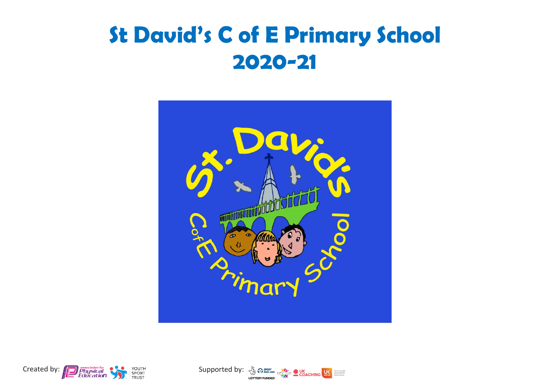## **St David's C of E Primary School 2020-21**





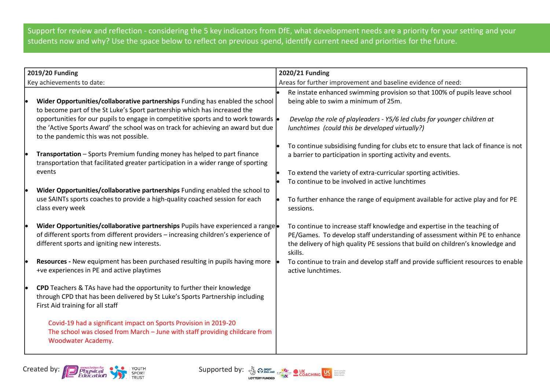Support for review and reflection - considering the 5 key indicators from DfE, what development needs are a priority for your setting and your students now and why? Use the space below to reflect on previous spend, identify current need and priorities for the future.

|                           | 2019/20 Funding                                                                                                                                                                                                                                                                                                                                                                      | 2020/21 Funding                                                                                                                                                                                                                                                         |  |  |
|---------------------------|--------------------------------------------------------------------------------------------------------------------------------------------------------------------------------------------------------------------------------------------------------------------------------------------------------------------------------------------------------------------------------------|-------------------------------------------------------------------------------------------------------------------------------------------------------------------------------------------------------------------------------------------------------------------------|--|--|
| Key achievements to date: |                                                                                                                                                                                                                                                                                                                                                                                      | Areas for further improvement and baseline evidence of need:                                                                                                                                                                                                            |  |  |
|                           | Wider Opportunities/collaborative partnerships Funding has enabled the school<br>to become part of the St Luke's Sport partnership which has increased the<br>opportunities for our pupils to engage in competitive sports and to work towards $\cdot$<br>the 'Active Sports Award' the school was on track for achieving an award but due<br>to the pandemic this was not possible. | Re instate enhanced swimming provision so that 100% of pupils leave school<br>being able to swim a minimum of 25m.<br>Develop the role of playleaders - Y5/6 led clubs for younger children at<br>lunchtimes (could this be developed virtually?)                       |  |  |
|                           | Transportation - Sports Premium funding money has helped to part finance<br>transportation that facilitated greater participation in a wider range of sporting<br>events                                                                                                                                                                                                             | To continue subsidising funding for clubs etc to ensure that lack of finance is not<br>a barrier to participation in sporting activity and events.<br>To extend the variety of extra-curricular sporting activities.<br>To continue to be involved in active lunchtimes |  |  |
|                           | Wider Opportunities/collaborative partnerships Funding enabled the school to<br>use SAINTs sports coaches to provide a high-quality coached session for each<br>class every week                                                                                                                                                                                                     | To further enhance the range of equipment available for active play and for PE<br>sessions.                                                                                                                                                                             |  |  |
|                           | Wider Opportunities/collaborative partnerships Pupils have experienced a range<br>of different sports from different providers - increasing children's experience of<br>different sports and igniting new interests.                                                                                                                                                                 | To continue to increase staff knowledge and expertise in the teaching of<br>PE/Games. To develop staff understanding of assessment within PE to enhance<br>the delivery of high quality PE sessions that build on children's knowledge and<br>skills.                   |  |  |
|                           | <b>Resources - New equipment has been purchased resulting in pupils having more</b><br>+ve experiences in PE and active playtimes                                                                                                                                                                                                                                                    | To continue to train and develop staff and provide sufficient resources to enable<br>active lunchtimes.                                                                                                                                                                 |  |  |
|                           | CPD Teachers & TAs have had the opportunity to further their knowledge<br>through CPD that has been delivered by St Luke's Sports Partnership including<br>First Aid training for all staff<br>Covid-19 had a significant impact on Sports Provision in 2019-20                                                                                                                      |                                                                                                                                                                                                                                                                         |  |  |
|                           | The school was closed from March - June with staff providing childcare from<br>Woodwater Academy.                                                                                                                                                                                                                                                                                    |                                                                                                                                                                                                                                                                         |  |  |



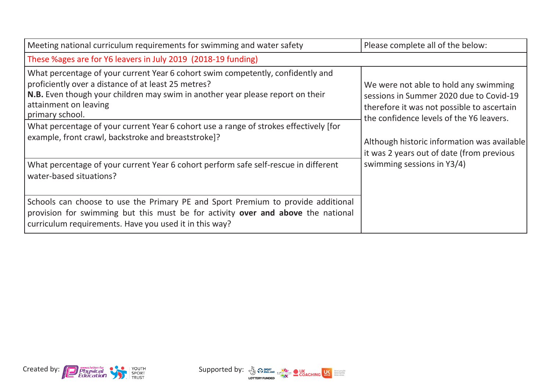| Meeting national curriculum requirements for swimming and water safety                                                                                                                                                                                               | Please complete all of the below:                                                                                                                                          |
|----------------------------------------------------------------------------------------------------------------------------------------------------------------------------------------------------------------------------------------------------------------------|----------------------------------------------------------------------------------------------------------------------------------------------------------------------------|
| These %ages are for Y6 leavers in July 2019 (2018-19 funding)                                                                                                                                                                                                        |                                                                                                                                                                            |
| What percentage of your current Year 6 cohort swim competently, confidently and<br>proficiently over a distance of at least 25 metres?<br>N.B. Even though your children may swim in another year please report on their<br>attainment on leaving<br>primary school. | We were not able to hold any swimming<br>sessions in Summer 2020 due to Covid-19<br>therefore it was not possible to ascertain<br>the confidence levels of the Y6 leavers. |
| What percentage of your current Year 6 cohort use a range of strokes effectively [for<br>example, front crawl, backstroke and breaststroke]?                                                                                                                         | Although historic information was available<br>it was 2 years out of date (from previous                                                                                   |
| What percentage of your current Year 6 cohort perform safe self-rescue in different<br>water-based situations?                                                                                                                                                       | swimming sessions in Y3/4)                                                                                                                                                 |
| Schools can choose to use the Primary PE and Sport Premium to provide additional<br>provision for swimming but this must be for activity over and above the national<br>curriculum requirements. Have you used it in this way?                                       |                                                                                                                                                                            |



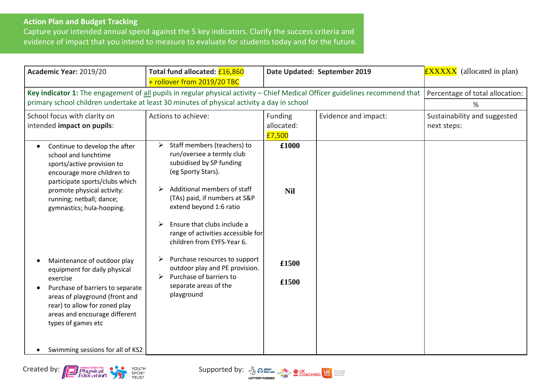## **Action Plan and Budget Tracking**

Capture your intended annual spend against the 5 key indicators. Clarify the success criteria and evidence of impact that you intend to measure to evaluate for students today and for the future.

| Total fund allocated: £16,860<br>+ rollover from 2019/20 TBC                                                                                                                                                                                                                      | Date Updated: September 2019    |                                                                                                                                  | <b>EXXXXX</b> (allocated in plan)                                                                                                                              |
|-----------------------------------------------------------------------------------------------------------------------------------------------------------------------------------------------------------------------------------------------------------------------------------|---------------------------------|----------------------------------------------------------------------------------------------------------------------------------|----------------------------------------------------------------------------------------------------------------------------------------------------------------|
|                                                                                                                                                                                                                                                                                   |                                 |                                                                                                                                  | %                                                                                                                                                              |
| Actions to achieve:                                                                                                                                                                                                                                                               | Funding<br>allocated:<br>£7,500 | Evidence and impact:                                                                                                             | Sustainability and suggested<br>next steps:                                                                                                                    |
| Staff members (teachers) to<br>➤<br>run/oversee a termly club<br>subsidised by SP funding<br>(eg Sporty Stars).<br>Additional members of staff<br>⋗<br>(TAs) paid, if numbers at S&P<br>extend beyond 1:6 ratio<br>Ensure that clubs include a<br>➤<br>children from EYFS-Year 6. | £1000<br><b>Nil</b>             |                                                                                                                                  |                                                                                                                                                                |
| Purchase resources to support<br>➤<br>outdoor play and PE provision.<br>Purchase of barriers to<br>➤<br>separate areas of the<br>playground                                                                                                                                       | £1500<br>£1500                  |                                                                                                                                  |                                                                                                                                                                |
|                                                                                                                                                                                                                                                                                   |                                 | primary school children undertake at least 30 minutes of physical activity a day in school<br>range of activities accessible for | Key indicator 1: The engagement of all pupils in regular physical activity – Chief Medical Officer guidelines recommend that   Percentage of total allocation: |



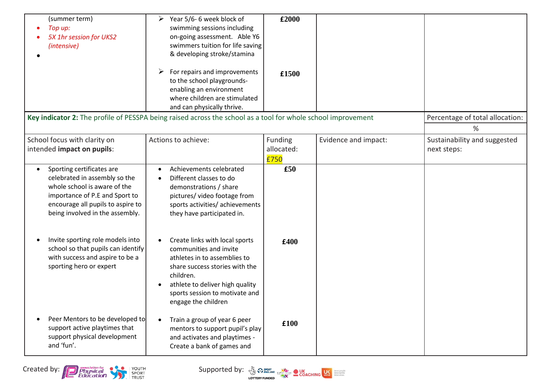| (summer term)<br>Top up:<br>5X 1hr session for UKS2<br>(intensive)                                                                                                                                   | Year 5/6-6 week block of<br>➤<br>swimming sessions including<br>on-going assessment. Able Y6<br>swimmers tuition for life saving<br>& developing stroke/stamina<br>For repairs and improvements<br>to the school playgrounds-<br>enabling an environment<br>where children are stimulated<br>and can physically thrive. | £2000<br>£1500                       |                      | Percentage of total allocation:             |
|------------------------------------------------------------------------------------------------------------------------------------------------------------------------------------------------------|-------------------------------------------------------------------------------------------------------------------------------------------------------------------------------------------------------------------------------------------------------------------------------------------------------------------------|--------------------------------------|----------------------|---------------------------------------------|
| Key indicator 2: The profile of PESSPA being raised across the school as a tool for whole school improvement                                                                                         |                                                                                                                                                                                                                                                                                                                         |                                      |                      | %                                           |
| School focus with clarity on<br>intended impact on pupils:                                                                                                                                           | Actions to achieve:                                                                                                                                                                                                                                                                                                     | <b>Funding</b><br>allocated:<br>£750 | Evidence and impact: | Sustainability and suggested<br>next steps: |
| Sporting certificates are<br>celebrated in assembly so the<br>whole school is aware of the<br>importance of P.E and Sport to<br>encourage all pupils to aspire to<br>being involved in the assembly. | Achievements celebrated<br>Different classes to do<br>demonstrations / share<br>pictures/ video footage from<br>sports activities/ achievements<br>they have participated in.                                                                                                                                           | £50                                  |                      |                                             |
| Invite sporting role models into<br>school so that pupils can identify<br>with success and aspire to be a<br>sporting hero or expert                                                                 | Create links with local sports<br>communities and invite<br>athletes in to assemblies to<br>share success stories with the<br>children.<br>athlete to deliver high quality<br>sports session to motivate and<br>engage the children                                                                                     | £400                                 |                      |                                             |
| Peer Mentors to be developed to<br>support active playtimes that<br>support physical development<br>and 'fun'.                                                                                       | Train a group of year 6 peer<br>mentors to support pupil's play<br>and activates and playtimes -<br>Create a bank of games and                                                                                                                                                                                          | £100                                 |                      |                                             |

Created by: **Contract of the Contract of the Supported by**: **Supported by:**  $\frac{N}{2}$   $\frac{N}{2}$   $\frac{N}{2}$   $\frac{N}{2}$   $\frac{N}{2}$   $\frac{N}{2}$   $\frac{N}{2}$   $\frac{N}{2}$   $\frac{N}{2}$   $\frac{N}{2}$   $\frac{N}{2}$   $\frac{N}{2}$   $\frac{N}{2}$   $\frac{N}{2}$   $\frac{N}{$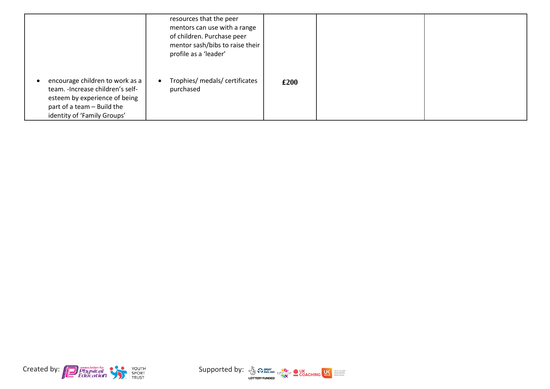|                                                                                                                                                                    | resources that the peer<br>mentors can use with a range<br>of children. Purchase peer<br>mentor sash/bibs to raise their<br>profile as a 'leader' |      |  |
|--------------------------------------------------------------------------------------------------------------------------------------------------------------------|---------------------------------------------------------------------------------------------------------------------------------------------------|------|--|
| encourage children to work as a<br>team. - Increase children's self-<br>esteem by experience of being<br>part of a team - Build the<br>identity of 'Family Groups' | Trophies/ medals/ certificates<br>purchased                                                                                                       | £200 |  |



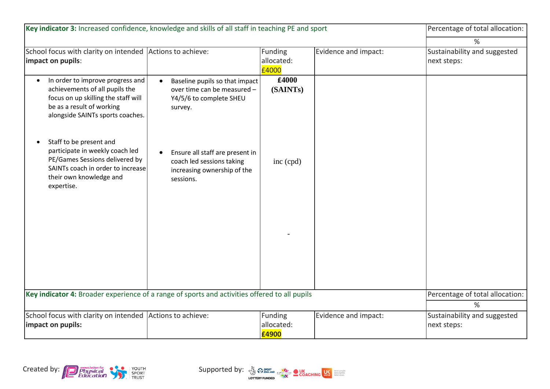| Key indicator 3: Increased confidence, knowledge and skills of all staff in teaching PE and sport                                                                                       | Percentage of total allocation:                                                                                       |                                |                      |                                             |
|-----------------------------------------------------------------------------------------------------------------------------------------------------------------------------------------|-----------------------------------------------------------------------------------------------------------------------|--------------------------------|----------------------|---------------------------------------------|
|                                                                                                                                                                                         | $\%$                                                                                                                  |                                |                      |                                             |
| School focus with clarity on intended Actions to achieve:<br>impact on pupils:                                                                                                          |                                                                                                                       | Funding<br>allocated:<br>£4000 | Evidence and impact: | Sustainability and suggested<br>next steps: |
| In order to improve progress and<br>$\bullet$<br>achievements of all pupils the<br>focus on up skilling the staff will<br>be as a result of working<br>alongside SAINTs sports coaches. | Baseline pupils so that impact<br>$\bullet$<br>over time can be measured -<br>Y4/5/6 to complete SHEU<br>survey.      | £4000<br>(SAINTs)              |                      |                                             |
| Staff to be present and<br>$\bullet$<br>participate in weekly coach led<br>PE/Games Sessions delivered by<br>SAINTs coach in order to increase<br>their own knowledge and<br>expertise. | Ensure all staff are present in<br>$\bullet$<br>coach led sessions taking<br>increasing ownership of the<br>sessions. | inc (cpd)                      |                      |                                             |
| Key indicator 4: Broader experience of a range of sports and activities offered to all pupils                                                                                           | Percentage of total allocation:<br>$\%$                                                                               |                                |                      |                                             |
| School focus with clarity on intended<br>impact on pupils:                                                                                                                              | Actions to achieve:                                                                                                   | Funding<br>allocated:<br>£4900 | Evidence and impact: | Sustainability and suggested<br>next steps: |



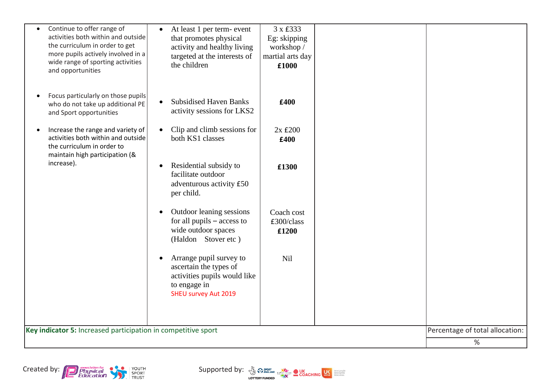|                                                               | Continue to offer range of<br>activities both within and outside<br>the curriculum in order to get<br>more pupils actively involved in a<br>wide range of sporting activities<br>and opportunities | $\bullet$ | At least 1 per term- event<br>that promotes physical<br>activity and healthy living<br>targeted at the interests of<br>the children | 3 x £333<br>Eg: skipping<br>workshop /<br>martial arts day<br>£1000 |                                 |  |
|---------------------------------------------------------------|----------------------------------------------------------------------------------------------------------------------------------------------------------------------------------------------------|-----------|-------------------------------------------------------------------------------------------------------------------------------------|---------------------------------------------------------------------|---------------------------------|--|
|                                                               | Focus particularly on those pupils<br>who do not take up additional PE<br>and Sport opportunities                                                                                                  |           | <b>Subsidised Haven Banks</b><br>activity sessions for LKS2                                                                         | £400                                                                |                                 |  |
|                                                               | Increase the range and variety of<br>activities both within and outside<br>the curriculum in order to<br>maintain high participation (&                                                            |           | Clip and climb sessions for<br>both KS1 classes                                                                                     | $2x \text{ f}200$<br>£400                                           |                                 |  |
|                                                               | increase).                                                                                                                                                                                         |           | Residential subsidy to<br>facilitate outdoor<br>adventurous activity £50<br>per child.                                              | £1300                                                               |                                 |  |
|                                                               |                                                                                                                                                                                                    |           | Outdoor leaning sessions<br>for all pupils $-$ access to<br>wide outdoor spaces<br>(Haldon Stover etc)                              | Coach cost<br>£300/class<br>£1200                                   |                                 |  |
|                                                               |                                                                                                                                                                                                    |           | Arrange pupil survey to<br>ascertain the types of<br>activities pupils would like<br>to engage in<br><b>SHEU survey Aut 2019</b>    | Nil                                                                 |                                 |  |
| Key indicator 5: Increased participation in competitive sport |                                                                                                                                                                                                    |           |                                                                                                                                     |                                                                     | Percentage of total allocation: |  |
|                                                               |                                                                                                                                                                                                    |           |                                                                                                                                     |                                                                     | %                               |  |
|                                                               |                                                                                                                                                                                                    |           |                                                                                                                                     |                                                                     |                                 |  |